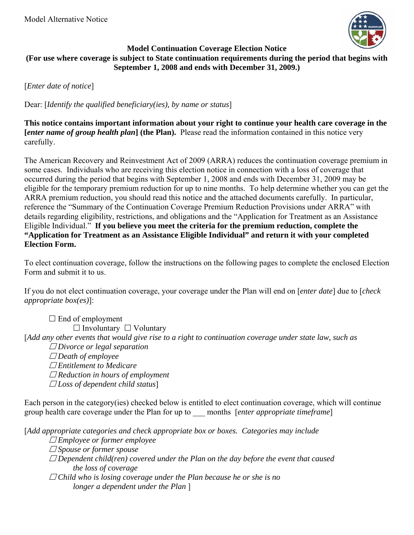

#### **Model Continuation Coverage Election Notice (For use where coverage is subject to State continuation requirements during the period that begins with September 1, 2008 and ends with December 31, 2009.)**

[*Enter date of notice*]

Dear: [*Identify the qualified beneficiary(ies), by name or status*]

**This notice contains important information about your right to continue your health care coverage in the [***enter name of group health plan***] (the Plan).** Please read the information contained in this notice very carefully.

The American Recovery and Reinvestment Act of 2009 (ARRA) reduces the continuation coverage premium in some cases. Individuals who are receiving this election notice in connection with a loss of coverage that occurred during the period that begins with September 1, 2008 and ends with December 31, 2009 may be eligible for the temporary premium reduction for up to nine months. To help determine whether you can get the ARRA premium reduction, you should read this notice and the attached documents carefully. In particular, reference the "Summary of the Continuation Coverage Premium Reduction Provisions under ARRA" with details regarding eligibility, restrictions, and obligations and the "Application for Treatment as an Assistance Eligible Individual." **If you believe you meet the criteria for the premium reduction, complete the "Application for Treatment as an Assistance Eligible Individual" and return it with your completed Election Form.**

To elect continuation coverage, follow the instructions on the following pages to complete the enclosed Election Form and submit it to us.

If you do not elect continuation coverage, your coverage under the Plan will end on [*enter date*] due to [*check appropriate box(es)*]:

 $\square$  End of employment  $\Box$  Involuntary  $\Box$  Voluntary [*Add any other events that would give rise to a right to continuation coverage under state law, such as Divorce or legal separation Death of employee Entitlement to Medicare Reduction in hours of employment Loss of dependent child status*]

Each person in the category(ies) checked below is entitled to elect continuation coverage, which will continue group health care coverage under the Plan for up to \_\_\_ months [*enter appropriate timeframe*]

[*Add appropriate categories and check appropriate box or boxes. Categories may include* 

 *Employee or former employee* 

 *Spouse or former spouse* 

- *Dependent child(ren) covered under the Plan on the day before the event that caused the loss of coverage*
- *Child who is losing coverage under the Plan because he or she is no longer a dependent under the Plan* ]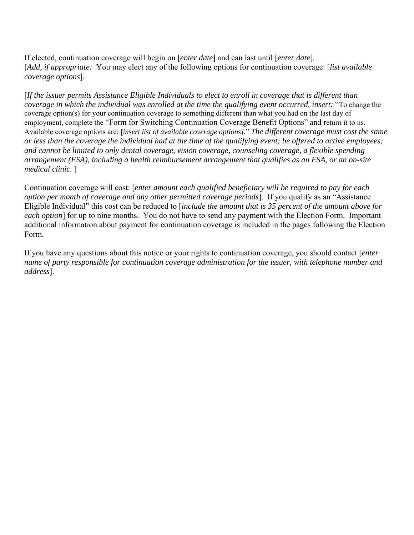If elected, continuation coverage will begin on [*enter date*] and can last until [*enter date*]*.*  [*Add, if appropriate:* You may elect any of the following options for continuation coverage: [*list available coverage options*].

[*If the issuer permits Assistance Eligible Individuals to elect to enroll in coverage that is different than coverage in which the individual was enrolled at the time the qualifying event occurred, insert:* "To change the coverage option(s) for your continuation coverage to something different than what you had on the last day of employment, complete the "Form for Switching Continuation Coverage Benefit Options" and return it to us. Available coverage options are: [*insert list of available coverage options].*" *The different coverage must cost the same or less than the coverage the individual had at the time of the qualifying event; be offered to active employees; and cannot be limited to only dental coverage, vision coverage, counseling coverage, a flexible spending arrangement (FSA), including a health reimbursement arrangement that qualifies as an FSA, or an on-site medical clinic.* ]

Continuation coverage will cost: [*enter amount each qualified beneficiary will be required to pay for each option per month of coverage and any other permitted coverage periods*].If you qualify as an "Assistance Eligible Individual" this cost can be reduced to [*include the amount that is 35 percent of the amount above for each option*] for up to nine months. You do not have to send any payment with the Election Form. Important additional information about payment for continuation coverage is included in the pages following the Election Form.

If you have any questions about this notice or your rights to continuation coverage, you should contact [*enter name of party responsible for continuation coverage administration for the issuer, with telephone number and address*].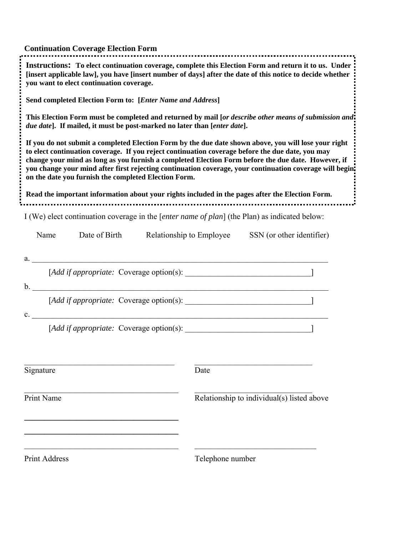| <b>Continuation Coverage Election Form</b>                                                                                                                                                                                                                                                                                                                                                                                                                                                                                                                                            |                                                                                                       |  |  |  |
|---------------------------------------------------------------------------------------------------------------------------------------------------------------------------------------------------------------------------------------------------------------------------------------------------------------------------------------------------------------------------------------------------------------------------------------------------------------------------------------------------------------------------------------------------------------------------------------|-------------------------------------------------------------------------------------------------------|--|--|--|
| [insert applicable law], you have [insert number of days] after the date of this notice to decide whether<br>you want to elect continuation coverage.                                                                                                                                                                                                                                                                                                                                                                                                                                 | Instructions: To elect continuation coverage, complete this Election Form and return it to us. Under  |  |  |  |
| Send completed Election Form to: [Enter Name and Address]                                                                                                                                                                                                                                                                                                                                                                                                                                                                                                                             |                                                                                                       |  |  |  |
| due date]. If mailed, it must be post-marked no later than [enter date].                                                                                                                                                                                                                                                                                                                                                                                                                                                                                                              | This Election Form must be completed and returned by mail [or describe other means of submission and: |  |  |  |
| If you do not submit a completed Election Form by the due date shown above, you will lose your right<br>to elect continuation coverage. If you reject continuation coverage before the due date, you may<br>change your mind as long as you furnish a completed Election Form before the due date. However, if<br>you change your mind after first rejecting continuation coverage, your continuation coverage will begin.<br>on the date you furnish the completed Election Form.<br>Read the important information about your rights included in the pages after the Election Form. |                                                                                                       |  |  |  |
| I (We) elect continuation coverage in the [ <i>enter name of plan</i> ] (the Plan) as indicated below:                                                                                                                                                                                                                                                                                                                                                                                                                                                                                |                                                                                                       |  |  |  |
| Date of Birth Relationship to Employee<br>SSN (or other identifier)<br>Name                                                                                                                                                                                                                                                                                                                                                                                                                                                                                                           |                                                                                                       |  |  |  |
| a.                                                                                                                                                                                                                                                                                                                                                                                                                                                                                                                                                                                    |                                                                                                       |  |  |  |
| $\mathbf{b}$ .                                                                                                                                                                                                                                                                                                                                                                                                                                                                                                                                                                        |                                                                                                       |  |  |  |
|                                                                                                                                                                                                                                                                                                                                                                                                                                                                                                                                                                                       |                                                                                                       |  |  |  |
| <u> 1989 - Jan Barnett, fransk politik (d. 1989)</u><br>$c_{-}$                                                                                                                                                                                                                                                                                                                                                                                                                                                                                                                       |                                                                                                       |  |  |  |
|                                                                                                                                                                                                                                                                                                                                                                                                                                                                                                                                                                                       |                                                                                                       |  |  |  |
|                                                                                                                                                                                                                                                                                                                                                                                                                                                                                                                                                                                       |                                                                                                       |  |  |  |
| Signature                                                                                                                                                                                                                                                                                                                                                                                                                                                                                                                                                                             | Date                                                                                                  |  |  |  |
| Print Name                                                                                                                                                                                                                                                                                                                                                                                                                                                                                                                                                                            | Relationship to individual(s) listed above                                                            |  |  |  |
| <b>Print Address</b>                                                                                                                                                                                                                                                                                                                                                                                                                                                                                                                                                                  | Telephone number                                                                                      |  |  |  |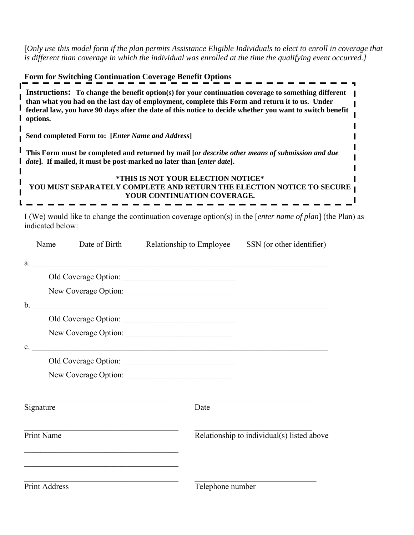[*Only use this model form if the plan permits Assistance Eligible Individuals to elect to enroll in coverage that is different than coverage in which the individual was enrolled at the time the qualifying event occurred.]* 

| <b>Form for Switching Continuation Coverage Benefit Options</b>                                                                                                                                                                                                                                                               |
|-------------------------------------------------------------------------------------------------------------------------------------------------------------------------------------------------------------------------------------------------------------------------------------------------------------------------------|
| Instructions: To change the benefit option(s) for your continuation coverage to something different<br>than what you had on the last day of employment, complete this Form and return it to us. Under<br>federal law, you have 90 days after the date of this notice to decide whether you want to switch benefit<br>options. |
| Send completed Form to: [Enter Name and Address]                                                                                                                                                                                                                                                                              |
| This Form must be completed and returned by mail [or describe other means of submission and due<br><i>date</i> ]. If mailed, it must be post-marked no later than [ <i>enter date</i> ].                                                                                                                                      |
| *THIS IS NOT YOUR ELECTION NOTICE*<br>YOU MUST SEPARATELY COMPLETE AND RETURN THE ELECTION NOTICE TO SECURE <sub>1</sub><br>YOUR CONTINUATION COVERAGE.                                                                                                                                                                       |

I (We) would like to change the continuation coverage option(s) in the [*enter name of plan*] (the Plan) as indicated below:

| Name                                                                                                    |                                                            | Date of Birth Relationship to Employee SSN (or other identifier)                                                      |                                            |
|---------------------------------------------------------------------------------------------------------|------------------------------------------------------------|-----------------------------------------------------------------------------------------------------------------------|--------------------------------------------|
|                                                                                                         |                                                            | a.                                                                                                                    |                                            |
|                                                                                                         |                                                            |                                                                                                                       |                                            |
|                                                                                                         |                                                            | New Coverage Option:                                                                                                  |                                            |
|                                                                                                         |                                                            | $\mathbf{b}$ .                                                                                                        |                                            |
|                                                                                                         |                                                            |                                                                                                                       |                                            |
|                                                                                                         |                                                            |                                                                                                                       |                                            |
| $c_{\rm m}$                                                                                             |                                                            | <u> 1980 - Johann Stein, marwolaethau a bhann an chomhair an chomhair an chomhair an chomhair an chomhair an chom</u> |                                            |
|                                                                                                         |                                                            |                                                                                                                       |                                            |
|                                                                                                         |                                                            | New Coverage Option:                                                                                                  |                                            |
| Signature                                                                                               |                                                            | Date                                                                                                                  |                                            |
| the control of the control of the control of the control of the control of the control of<br>Print Name |                                                            |                                                                                                                       | Relationship to individual(s) listed above |
|                                                                                                         | <u> 1989 - Johann Stoff, amerikansk politiker (* 1908)</u> |                                                                                                                       |                                            |
| Print Address                                                                                           |                                                            | Telephone number                                                                                                      |                                            |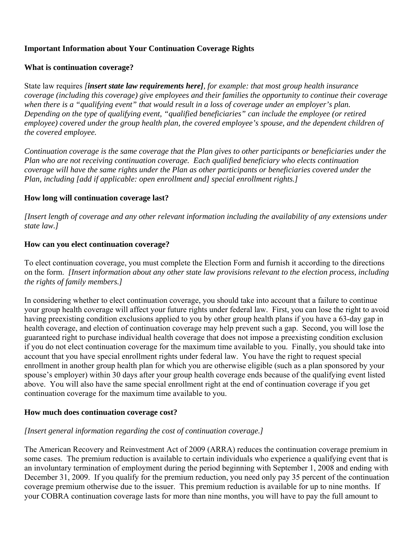#### **Important Information about Your Continuation Coverage Rights**

#### **What is continuation coverage?**

State law requires *[insert state law requirements here], for example: that most group health insurance coverage (including this coverage) give employees and their families the opportunity to continue their coverage when there is a "qualifying event" that would result in a loss of coverage under an employer's plan. Depending on the type of qualifying event, "qualified beneficiaries" can include the employee (or retired employee) covered under the group health plan, the covered employee's spouse, and the dependent children of the covered employee.*

*Continuation coverage is the same coverage that the Plan gives to other participants or beneficiaries under the Plan who are not receiving continuation coverage. Each qualified beneficiary who elects continuation coverage will have the same rights under the Plan as other participants or beneficiaries covered under the Plan, including [add if applicable: open enrollment and] special enrollment rights.]* 

#### **How long will continuation coverage last?**

*[Insert length of coverage and any other relevant information including the availability of any extensions under state law.]* 

#### **How can you elect continuation coverage?**

To elect continuation coverage, you must complete the Election Form and furnish it according to the directions on the form. *[Insert information about any other state law provisions relevant to the election process, including the rights of family members.]*

In considering whether to elect continuation coverage, you should take into account that a failure to continue your group health coverage will affect your future rights under federal law. First, you can lose the right to avoid having preexisting condition exclusions applied to you by other group health plans if you have a 63-day gap in health coverage, and election of continuation coverage may help prevent such a gap. Second, you will lose the guaranteed right to purchase individual health coverage that does not impose a preexisting condition exclusion if you do not elect continuation coverage for the maximum time available to you. Finally, you should take into account that you have special enrollment rights under federal law. You have the right to request special enrollment in another group health plan for which you are otherwise eligible (such as a plan sponsored by your spouse's employer) within 30 days after your group health coverage ends because of the qualifying event listed above. You will also have the same special enrollment right at the end of continuation coverage if you get continuation coverage for the maximum time available to you.

#### **How much does continuation coverage cost?**

#### *[Insert general information regarding the cost of continuation coverage.]*

The American Recovery and Reinvestment Act of 2009 (ARRA) reduces the continuation coverage premium in some cases. The premium reduction is available to certain individuals who experience a qualifying event that is an involuntary termination of employment during the period beginning with September 1, 2008 and ending with December 31, 2009. If you qualify for the premium reduction, you need only pay 35 percent of the continuation coverage premium otherwise due to the issuer. This premium reduction is available for up to nine months. If your COBRA continuation coverage lasts for more than nine months, you will have to pay the full amount to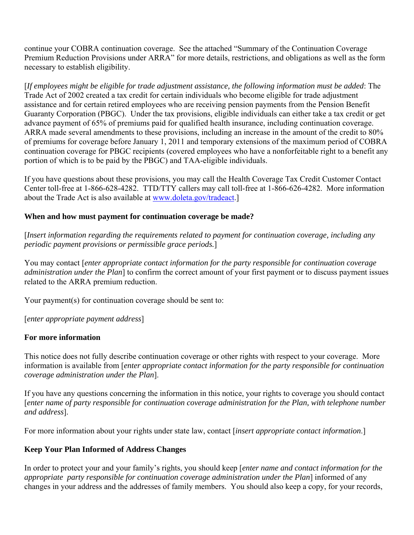continue your COBRA continuation coverage. See the attached "Summary of the Continuation Coverage Premium Reduction Provisions under ARRA" for more details, restrictions, and obligations as well as the form necessary to establish eligibility.

[*If employees might be eligible for trade adjustment assistance, the following information must be added*: The Trade Act of 2002 created a tax credit for certain individuals who become eligible for trade adjustment assistance and for certain retired employees who are receiving pension payments from the Pension Benefit Guaranty Corporation (PBGC). Under the tax provisions, eligible individuals can either take a tax credit or get advance payment of 65% of premiums paid for qualified health insurance, including continuation coverage. ARRA made several amendments to these provisions, including an increase in the amount of the credit to 80% of premiums for coverage before January 1, 2011 and temporary extensions of the maximum period of COBRA continuation coverage for PBGC recipients (covered employees who have a nonforfeitable right to a benefit any portion of which is to be paid by the PBGC) and TAA-eligible individuals.

If you have questions about these provisions, you may call the Health Coverage Tax Credit Customer Contact Center toll-free at 1-866-628-4282. TTD/TTY callers may call toll-free at 1-866-626-4282. More information about the Trade Act is also available at [www.doleta.gov/tradeact.](http://www.doleta.gov/tradeact)

#### **When and how must payment for continuation coverage be made?**

[*Insert information regarding the requirements related to payment for continuation coverage, including any periodic payment provisions or permissible grace periods.*]

You may contact [*enter appropriate contact information for the party responsible for continuation coverage administration under the Plan*] to confirm the correct amount of your first payment or to discuss payment issues related to the ARRA premium reduction.

Your payment(s) for continuation coverage should be sent to:

[*enter appropriate payment address*]

#### **For more information**

This notice does not fully describe continuation coverage or other rights with respect to your coverage. More information is available from [*enter appropriate contact information for the party responsible for continuation coverage administration under the Plan*].

If you have any questions concerning the information in this notice, your rights to coverage you should contact [*enter name of party responsible for continuation coverage administration for the Plan, with telephone number and address*].

For more information about your rights under state law, contact [*insert appropriate contact information*.]

### **Keep Your Plan Informed of Address Changes**

In order to protect your and your family's rights, you should keep [*enter name and contact information for the appropriate party responsible for continuation coverage administration under the Plan*] informed of any changes in your address and the addresses of family members. You should also keep a copy, for your records,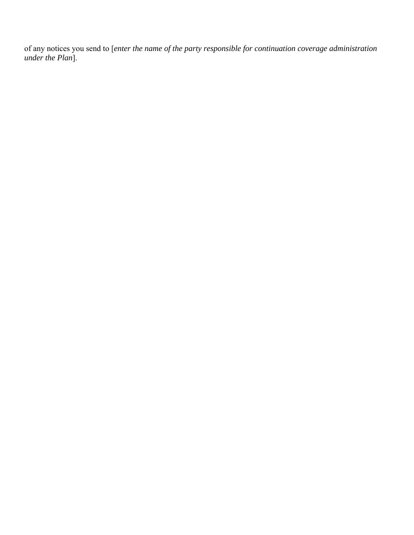of any notices you send to [*enter the name of the party responsible for continuation coverage administration under the Plan*].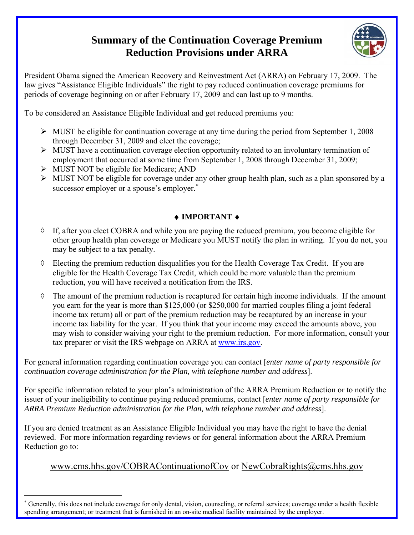# **Summary of the Continuation Coverage Premium Reduction Provisions under ARRA**



President Obama signed the American Recovery and Reinvestment Act (ARRA) on February 17, 2009. The law gives "Assistance Eligible Individuals" the right to pay reduced continuation coverage premiums for periods of coverage beginning on or after February 17, 2009 and can last up to 9 months.

To be considered an Assistance Eligible Individual and get reduced premiums you:

- $\triangleright$  MUST be eligible for continuation coverage at any time during the period from September 1, 2008 through December 31, 2009 and elect the coverage;
- $\triangleright$  MUST have a continuation coverage election opportunity related to an involuntary termination of employment that occurred at some time from September 1, 2008 through December 31, 2009;
- $\triangleright$  MUST NOT be eligible for Medicare; AND

 $\overline{a}$ 

¾ MUST NOT be eligible for coverage under any other group health plan, such as a plan sponsored by a successor employer or a spouse's employer.<sup>[∗](#page-7-0)</sup>

## ♦ **IMPORTANT** ♦

- ◊ If, after you elect COBRA and while you are paying the reduced premium, you become eligible for other group health plan coverage or Medicare you MUST notify the plan in writing. If you do not, you may be subject to a tax penalty.
- ◊ Electing the premium reduction disqualifies you for the Health Coverage Tax Credit. If you are eligible for the Health Coverage Tax Credit, which could be more valuable than the premium reduction, you will have received a notification from the IRS.
- $\Diamond$  The amount of the premium reduction is recaptured for certain high income individuals. If the amount you earn for the year is more than \$125,000 (or \$250,000 for married couples filing a joint federal income tax return) all or part of the premium reduction may be recaptured by an increase in your income tax liability for the year. If you think that your income may exceed the amounts above, you may wish to consider waiving your right to the premium reduction. For more information, consult your tax preparer or visit the IRS webpage on ARRA at www.irs.gov.

For general information regarding continuation coverage you can contact [*enter name of party responsible for continuation coverage administration for the Plan, with telephone number and address*].

For specific information related to your plan's administration of the ARRA Premium Reduction or to notify the issuer of your ineligibility to continue paying reduced premiums, contact [*enter name of party responsible for ARRA Premium Reduction administration for the Plan, with telephone number and address*].

If you are denied treatment as an Assistance Eligible Individual you may have the right to have the denial reviewed. For more information regarding reviews or for general information about the ARRA Premium Reduction go to:

## [www.cms.hhs.gov/COBRAContinuationofCov](http://www.cms.hhs.gov/COBRAContinuationofCov) or [NewCobraRights@cms.hhs.gov](mailto:NewCobraRights@cms.hhs.gov)

<span id="page-7-0"></span><sup>∗</sup> Generally, this does not include coverage for only dental, vision, counseling, or referral services; coverage under a health flexible spending arrangement; or treatment that is furnished in an on-site medical facility maintained by the employer.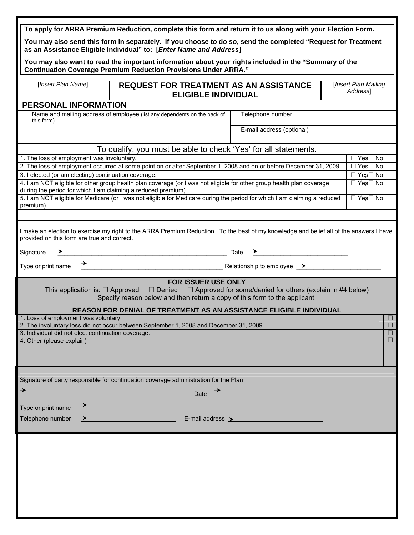|                                                                            | To apply for ARRA Premium Reduction, complete this form and return it to us along with your Election Form.<br>You may also send this form in separately. If you choose to do so, send the completed "Request for Treatment<br>as an Assistance Eligible Individual" to: [Enter Name and Address]                                                                                                                                  |                                                                                       |  |                      |
|----------------------------------------------------------------------------|-----------------------------------------------------------------------------------------------------------------------------------------------------------------------------------------------------------------------------------------------------------------------------------------------------------------------------------------------------------------------------------------------------------------------------------|---------------------------------------------------------------------------------------|--|----------------------|
|                                                                            | You may also want to read the important information about your rights included in the "Summary of the<br><b>Continuation Coverage Premium Reduction Provisions Under ARRA."</b>                                                                                                                                                                                                                                                   |                                                                                       |  |                      |
| [Insert Plan Name]                                                         | [Insert Plan Mailing<br><b>REQUEST FOR TREATMENT AS AN ASSISTANCE</b><br>Address1<br><b>ELIGIBLE INDIVIDUAL</b>                                                                                                                                                                                                                                                                                                                   |                                                                                       |  |                      |
| PERSONAL INFORMATION                                                       |                                                                                                                                                                                                                                                                                                                                                                                                                                   |                                                                                       |  |                      |
| this form)                                                                 | Name and mailing address of employee (list any dependents on the back of                                                                                                                                                                                                                                                                                                                                                          | Telephone number                                                                      |  |                      |
|                                                                            |                                                                                                                                                                                                                                                                                                                                                                                                                                   | E-mail address (optional)                                                             |  |                      |
|                                                                            | To qualify, you must be able to check 'Yes' for all statements.                                                                                                                                                                                                                                                                                                                                                                   |                                                                                       |  |                      |
| 1. The loss of employment was involuntary.                                 |                                                                                                                                                                                                                                                                                                                                                                                                                                   |                                                                                       |  | □ Yes□ No            |
|                                                                            | 2. The loss of employment occurred at some point on or after September 1, 2008 and on or before December 31, 2009.                                                                                                                                                                                                                                                                                                                |                                                                                       |  | $\Box$ Yes $\Box$ No |
| 3. I elected (or am electing) continuation coverage.                       |                                                                                                                                                                                                                                                                                                                                                                                                                                   |                                                                                       |  | □ Yes□ No            |
|                                                                            | 4. I am NOT eligible for other group health plan coverage (or I was not eligible for other group health plan coverage                                                                                                                                                                                                                                                                                                             |                                                                                       |  | □ Yes□ No            |
| during the period for which I am claiming a reduced premium).<br>premium). | 5. I am NOT eligible for Medicare (or I was not eligible for Medicare during the period for which I am claiming a reduced                                                                                                                                                                                                                                                                                                         |                                                                                       |  | $\Box$ Yes $\Box$ No |
|                                                                            |                                                                                                                                                                                                                                                                                                                                                                                                                                   |                                                                                       |  |                      |
| provided on this form are true and correct.                                | I make an election to exercise my right to the ARRA Premium Reduction. To the best of my knowledge and belief all of the answers I have                                                                                                                                                                                                                                                                                           |                                                                                       |  |                      |
| Signature                                                                  | $\rightarrow$ Date $\rightarrow$ Date $\rightarrow$ Date $\rightarrow$ Date $\rightarrow$ Date $\rightarrow$ Date $\rightarrow$ Date $\rightarrow$ Date $\rightarrow$ Date $\rightarrow$ Date $\rightarrow$ Date $\rightarrow$ Date $\rightarrow$ Date $\rightarrow$ Date $\rightarrow$ Date $\rightarrow$ Date $\rightarrow$ Date $\rightarrow$ Date $\rightarrow$ Date $\rightarrow$ Date $\rightarrow$ Date $\rightarrow$ Date |                                                                                       |  |                      |
|                                                                            |                                                                                                                                                                                                                                                                                                                                                                                                                                   |                                                                                       |  |                      |
|                                                                            | FOR ISSUER USE ONLY<br>This application is: $\Box$ Approved $\Box$ Denied<br>Specify reason below and then return a copy of this form to the applicant.<br>REASON FOR DENIAL OF TREATMENT AS AN ASSISTANCE ELIGIBLE INDIVIDUAL                                                                                                                                                                                                    | $\Box$ Approved for some/denied for others (explain in #4 below)                      |  |                      |
| 1. Loss of employment was voluntary.                                       | 2. The involuntary loss did not occur between September 1, 2008 and December 31, 2009.                                                                                                                                                                                                                                                                                                                                            |                                                                                       |  | $\Box$<br>$\Box$     |
| 3. Individual did not elect continuation coverage.                         |                                                                                                                                                                                                                                                                                                                                                                                                                                   |                                                                                       |  | $\Box$               |
| 4. Other (please explain)                                                  |                                                                                                                                                                                                                                                                                                                                                                                                                                   |                                                                                       |  | $\overline{\square}$ |
|                                                                            |                                                                                                                                                                                                                                                                                                                                                                                                                                   |                                                                                       |  |                      |
|                                                                            | Signature of party responsible for continuation coverage administration for the Plan                                                                                                                                                                                                                                                                                                                                              |                                                                                       |  |                      |
| →                                                                          | Date                                                                                                                                                                                                                                                                                                                                                                                                                              |                                                                                       |  |                      |
| Type or print name                                                         |                                                                                                                                                                                                                                                                                                                                                                                                                                   |                                                                                       |  |                      |
| Telephone number                                                           | <u> 1980 - Johann Barbara, martxa a</u>                                                                                                                                                                                                                                                                                                                                                                                           | E-mail address > Andrease Allen Andrease Allen Andrew Allen Andrew Allen Andrew Allen |  |                      |
|                                                                            |                                                                                                                                                                                                                                                                                                                                                                                                                                   |                                                                                       |  |                      |
|                                                                            |                                                                                                                                                                                                                                                                                                                                                                                                                                   |                                                                                       |  |                      |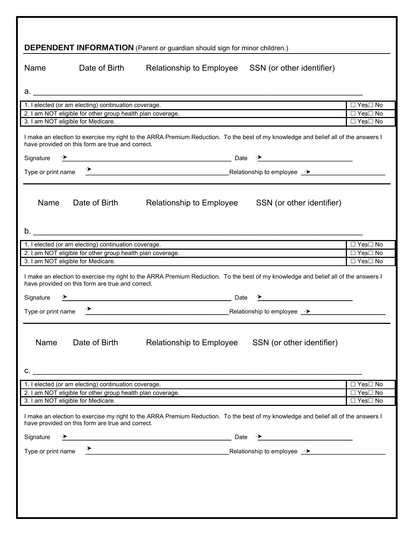|                                 |                                                                   | <b>DEPENDENT INFORMATION</b> (Parent or guardian should sign for minor children.)                                                                                                                                                                                                                                                                                                                                                 |                                   |
|---------------------------------|-------------------------------------------------------------------|-----------------------------------------------------------------------------------------------------------------------------------------------------------------------------------------------------------------------------------------------------------------------------------------------------------------------------------------------------------------------------------------------------------------------------------|-----------------------------------|
| Name                            | Date of Birth                                                     | Relationship to Employee<br>SSN (or other identifier)                                                                                                                                                                                                                                                                                                                                                                             |                                   |
|                                 |                                                                   |                                                                                                                                                                                                                                                                                                                                                                                                                                   |                                   |
|                                 | 1. I elected (or am electing) continuation coverage.              |                                                                                                                                                                                                                                                                                                                                                                                                                                   | □ Yes□ No                         |
|                                 | 2. I am NOT eligible for other group health plan coverage.        |                                                                                                                                                                                                                                                                                                                                                                                                                                   | $\Box$ Yes $\Box$ No              |
|                                 | 3. I am NOT eligible for Medicare.                                |                                                                                                                                                                                                                                                                                                                                                                                                                                   | $\Box$ Yes $\Box$ No              |
|                                 | have provided on this form are true and correct.                  | I make an election to exercise my right to the ARRA Premium Reduction. To the best of my knowledge and belief all of the answers I                                                                                                                                                                                                                                                                                                |                                   |
| Signature                       |                                                                   | $\rightarrow$ Date $\rightarrow$ Date $\rightarrow$ Date $\rightarrow$ Date $\rightarrow$ Date $\rightarrow$ Date $\rightarrow$ Date $\rightarrow$ Date $\rightarrow$ Date $\rightarrow$ Date $\rightarrow$ Date $\rightarrow$ Date $\rightarrow$ Date $\rightarrow$ Date $\rightarrow$ Date $\rightarrow$ Date $\rightarrow$ Date $\rightarrow$ Date $\rightarrow$ Date $\rightarrow$ Date $\rightarrow$ Date $\rightarrow$ Date |                                   |
| Type or print name              |                                                                   | $\rightarrow$ Relationship to employee $\rightarrow$                                                                                                                                                                                                                                                                                                                                                                              |                                   |
|                                 |                                                                   |                                                                                                                                                                                                                                                                                                                                                                                                                                   |                                   |
| Name                            | Date of Birth                                                     | Relationship to Employee SSN (or other identifier)                                                                                                                                                                                                                                                                                                                                                                                |                                   |
|                                 | 1. I elected (or am electing) continuation coverage.              |                                                                                                                                                                                                                                                                                                                                                                                                                                   | $\Box$ Yes $\Box$ No              |
|                                 | 2. I am NOT eligible for other group health plan coverage.        |                                                                                                                                                                                                                                                                                                                                                                                                                                   | $\Box$ Yes $\Box$ No              |
|                                 | 3. I am NOT eligible for Medicare.                                |                                                                                                                                                                                                                                                                                                                                                                                                                                   | $\Box$ Yes $\Box$ No              |
| Signature<br>Type or print name | have provided on this form are true and correct.<br>$\rightarrow$ | I make an election to exercise my right to the ARRA Premium Reduction. To the best of my knowledge and belief all of the answers I<br>$\overline{\phantom{a}}$ Date $\overline{\phantom{a}}$ Date $\overline{\phantom{a}}$<br><b>Example 2018</b> Relationship to employee <u>→</u>                                                                                                                                               |                                   |
| Name                            | Date of Birth                                                     | Relationship to Employee<br>SSN (or other identifier)<br>$\mathsf{C}.$                                                                                                                                                                                                                                                                                                                                                            |                                   |
|                                 | 1. I elected (or am electing) continuation coverage.              | the control of the control of the control of the control of the control of the control of the control of the control of the control of the control of the control of the control of the control of the control of the control                                                                                                                                                                                                     | $\Box$ Yes $\Box$ No              |
|                                 | 3. I am NOT eligible for Medicare.                                | 2. I am NOT eligible for other group health plan coverage.                                                                                                                                                                                                                                                                                                                                                                        | $\Box$ Yes $\Box$ No<br>□ Yes□ No |
| Signature<br>Type or print name | have provided on this form are true and correct.                  | I make an election to exercise my right to the ARRA Premium Reduction. To the best of my knowledge and belief all of the answers I<br>$\overbrace{\phantom{xxxxx}}$ Date $\overbrace{\phantom{xxxxx}}$ Date $\overbrace{\phantom{xxxxx}}$<br>$\begin{array}{c}\n\rightarrow \\ \hline\n\end{array}$<br>Relationship to employee $\rightarrow$                                                                                     |                                   |
|                                 |                                                                   |                                                                                                                                                                                                                                                                                                                                                                                                                                   |                                   |